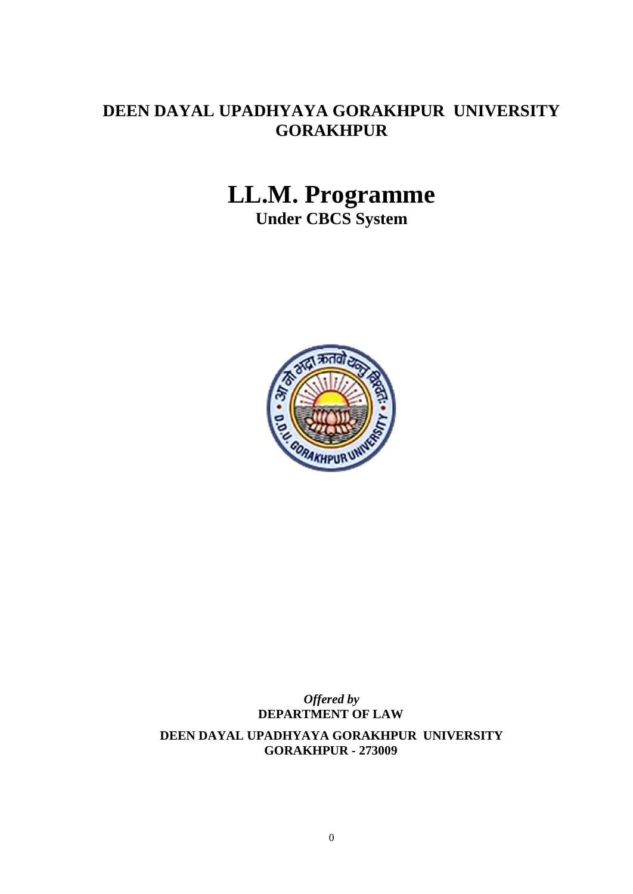## **DEEN DAYAL UPADHYAYA GORAKHPUR UNIVERSITY GORAKHPUR**

# **LL.M. Programme**

**Under CBCS System**



## *Offered by* **DEPARTMENT OF LAW**

**DEEN DAYAL UPADHYAYA GORAKHPUR UNIVERSITY GORAKHPUR - 273009**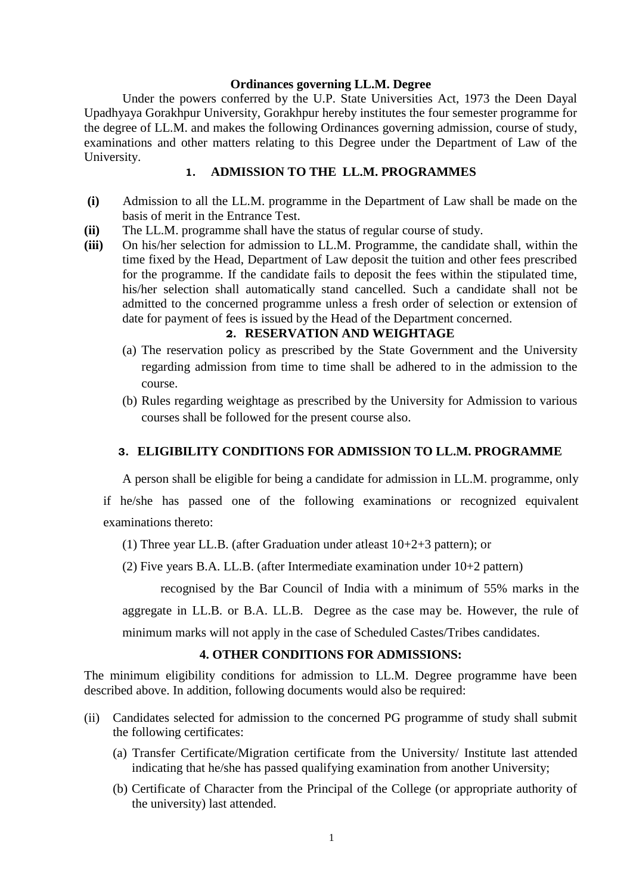#### **Ordinances governing LL.M. Degree**

Under the powers conferred by the U.P. State Universities Act, 1973 the Deen Dayal Upadhyaya Gorakhpur University, Gorakhpur hereby institutes the four semester programme for the degree of LL.M. and makes the following Ordinances governing admission, course of study, examinations and other matters relating to this Degree under the Department of Law of the University.

#### **1. ADMISSION TO THE LL.M. PROGRAMMES**

- **(i)** Admission to all the LL.M. programme in the Department of Law shall be made on the basis of merit in the Entrance Test.
- **(ii)** The LL.M. programme shall have the status of regular course of study.
- **(iii)** On his/her selection for admission to LL.M. Programme, the candidate shall, within the time fixed by the Head, Department of Law deposit the tuition and other fees prescribed for the programme. If the candidate fails to deposit the fees within the stipulated time, his/her selection shall automatically stand cancelled. Such a candidate shall not be admitted to the concerned programme unless a fresh order of selection or extension of date for payment of fees is issued by the Head of the Department concerned.

## **2. RESERVATION AND WEIGHTAGE**

- (a) The reservation policy as prescribed by the State Government and the University regarding admission from time to time shall be adhered to in the admission to the course.
- (b) Rules regarding weightage as prescribed by the University for Admission to various courses shall be followed for the present course also.

#### **3. ELIGIBILITY CONDITIONS FOR ADMISSION TO LL.M. PROGRAMME**

A person shall be eligible for being a candidate for admission in LL.M. programme, only

if he/she has passed one of the following examinations or recognized equivalent examinations thereto:

(1) Three year LL.B. (after Graduation under atleast 10+2+3 pattern); or

(2) Five years B.A. LL.B. (after Intermediate examination under 10+2 pattern)

recognised by the Bar Council of India with a minimum of 55% marks in the

aggregate in LL.B. or B.A. LL.B. Degree as the case may be. However, the rule of

minimum marks will not apply in the case of Scheduled Castes/Tribes candidates.

#### **4. OTHER CONDITIONS FOR ADMISSIONS:**

The minimum eligibility conditions for admission to LL.M. Degree programme have been described above. In addition, following documents would also be required:

- (ii) Candidates selected for admission to the concerned PG programme of study shall submit the following certificates:
	- (a) Transfer Certificate/Migration certificate from the University/ Institute last attended indicating that he/she has passed qualifying examination from another University;
	- (b) Certificate of Character from the Principal of the College (or appropriate authority of the university) last attended.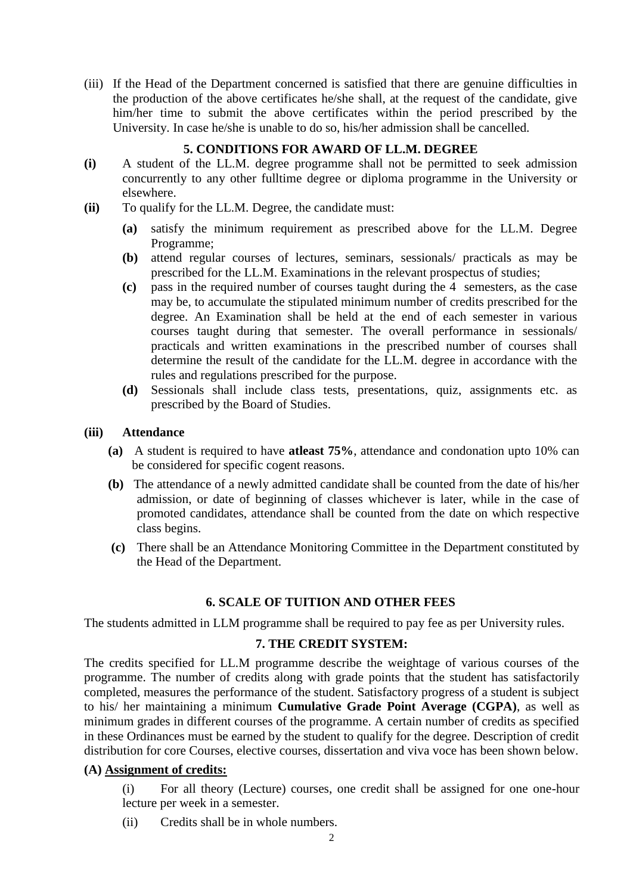(iii) If the Head of the Department concerned is satisfied that there are genuine difficulties in the production of the above certificates he/she shall, at the request of the candidate, give him/her time to submit the above certificates within the period prescribed by the University. In case he/she is unable to do so, his/her admission shall be cancelled.

## **5. CONDITIONS FOR AWARD OF LL.M. DEGREE**

- **(i)** A student of the LL.M. degree programme shall not be permitted to seek admission concurrently to any other fulltime degree or diploma programme in the University or elsewhere.
- **(ii)** To qualify for the LL.M. Degree, the candidate must:
	- **(a)** satisfy the minimum requirement as prescribed above for the LL.M. Degree Programme;
	- **(b)** attend regular courses of lectures, seminars, sessionals/ practicals as may be prescribed for the LL.M. Examinations in the relevant prospectus of studies;
	- **(c)** pass in the required number of courses taught during the 4 semesters, as the case may be, to accumulate the stipulated minimum number of credits prescribed for the degree. An Examination shall be held at the end of each semester in various courses taught during that semester. The overall performance in sessionals/ practicals and written examinations in the prescribed number of courses shall determine the result of the candidate for the LL.M. degree in accordance with the rules and regulations prescribed for the purpose.
	- **(d)** Sessionals shall include class tests, presentations, quiz, assignments etc. as prescribed by the Board of Studies.

#### **(iii) Attendance**

- **(a)** A student is required to have **atleast 75%**, attendance and condonation upto 10% can be considered for specific cogent reasons.
- **(b)** The attendance of a newly admitted candidate shall be counted from the date of his/her admission, or date of beginning of classes whichever is later, while in the case of promoted candidates, attendance shall be counted from the date on which respective class begins.
- **(c)** There shall be an Attendance Monitoring Committee in the Department constituted by the Head of the Department.

#### **6. SCALE OF TUITION AND OTHER FEES**

The students admitted in LLM programme shall be required to pay fee as per University rules.

#### **7. THE CREDIT SYSTEM:**

The credits specified for LL.M programme describe the weightage of various courses of the programme. The number of credits along with grade points that the student has satisfactorily completed, measures the performance of the student. Satisfactory progress of a student is subject to his/ her maintaining a minimum **Cumulative Grade Point Average (CGPA)**, as well as minimum grades in different courses of the programme. A certain number of credits as specified in these Ordinances must be earned by the student to qualify for the degree. Description of credit distribution for core Courses, elective courses, dissertation and viva voce has been shown below.

#### **(A) Assignment of credits:**

(i) For all theory (Lecture) courses, one credit shall be assigned for one one-hour lecture per week in a semester.

(ii) Credits shall be in whole numbers.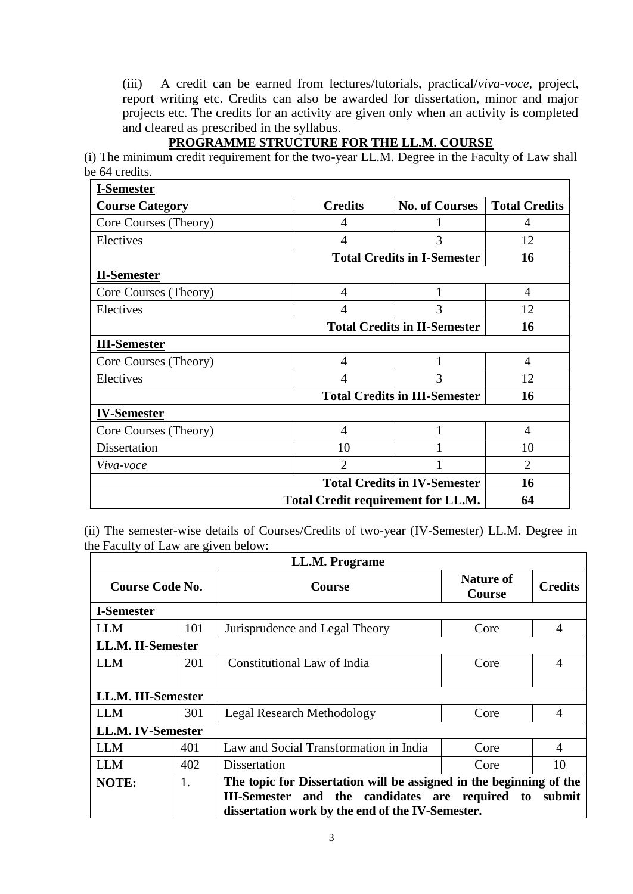(iii) A credit can be earned from lectures/tutorials, practical/*viva-voce*, project, report writing etc. Credits can also be awarded for dissertation, minor and major projects etc. The credits for an activity are given only when an activity is completed and cleared as prescribed in the syllabus.

# **PROGRAMME STRUCTURE FOR THE LL.M. COURSE**

(i) The minimum credit requirement for the two-year LL.M. Degree in the Faculty of Law shall be 64 credits.

| <b>I-Semester</b>                   |                                            |                       |                      |
|-------------------------------------|--------------------------------------------|-----------------------|----------------------|
| <b>Course Category</b>              | <b>Credits</b>                             | <b>No. of Courses</b> | <b>Total Credits</b> |
| Core Courses (Theory)               | 4                                          | 1                     | 4                    |
| Electives                           | 4                                          | 3                     | 12                   |
|                                     | <b>Total Credits in I-Semester</b><br>16   |                       |                      |
| <b>II-Semester</b>                  |                                            |                       |                      |
| Core Courses (Theory)               | $\overline{4}$                             | 1                     | $\overline{4}$       |
| Electives                           | 4                                          | 3                     | 12                   |
|                                     | <b>Total Credits in II-Semester</b>        | 16                    |                      |
| <b>III-Semester</b>                 |                                            |                       |                      |
| Core Courses (Theory)               | $\overline{4}$                             | 1                     | $\overline{4}$       |
| Electives                           | $\overline{4}$                             | 3                     | 12                   |
|                                     | <b>Total Credits in III-Semester</b><br>16 |                       |                      |
| <b>IV-Semester</b>                  |                                            |                       |                      |
| Core Courses (Theory)               | $\overline{4}$                             | 1                     | $\overline{4}$       |
| Dissertation                        | 10                                         |                       | 10                   |
| Viva-voce                           | $\overline{2}$                             |                       | $\overline{2}$       |
| <b>Total Credits in IV-Semester</b> |                                            |                       | 16                   |
|                                     | <b>Total Credit requirement for LL.M.</b>  |                       | 64                   |

(ii) The semester-wise details of Courses/Credits of two-year (IV-Semester) LL.M. Degree in the Faculty of Law are given below:

| LL.M. Programe     |     |                                                                     |                                   |                          |
|--------------------|-----|---------------------------------------------------------------------|-----------------------------------|--------------------------|
| Course Code No.    |     | <b>Course</b>                                                       | <b>Nature of</b><br><b>Course</b> | <b>Credits</b>           |
| <b>I-Semester</b>  |     |                                                                     |                                   |                          |
| <b>LLM</b>         | 101 | Jurisprudence and Legal Theory                                      | Core                              | 4                        |
| LL.M. II-Semester  |     |                                                                     |                                   |                          |
| LLM                | 201 | Constitutional Law of India                                         | Core                              | 4                        |
|                    |     |                                                                     |                                   |                          |
| LL.M. III-Semester |     |                                                                     |                                   |                          |
| <b>LLM</b>         | 301 | <b>Legal Research Methodology</b>                                   | Core                              | 4                        |
| LL.M. IV-Semester  |     |                                                                     |                                   |                          |
| <b>LLM</b>         | 401 | Law and Social Transformation in India                              | Core                              | $\overline{\mathcal{A}}$ |
| <b>LLM</b>         | 402 | Dissertation                                                        | Core                              | 10                       |
| <b>NOTE:</b>       | 1.  | The topic for Dissertation will be assigned in the beginning of the |                                   |                          |
|                    |     | III-Semester and the candidates are required to                     |                                   | submit                   |
|                    |     | dissertation work by the end of the IV-Semester.                    |                                   |                          |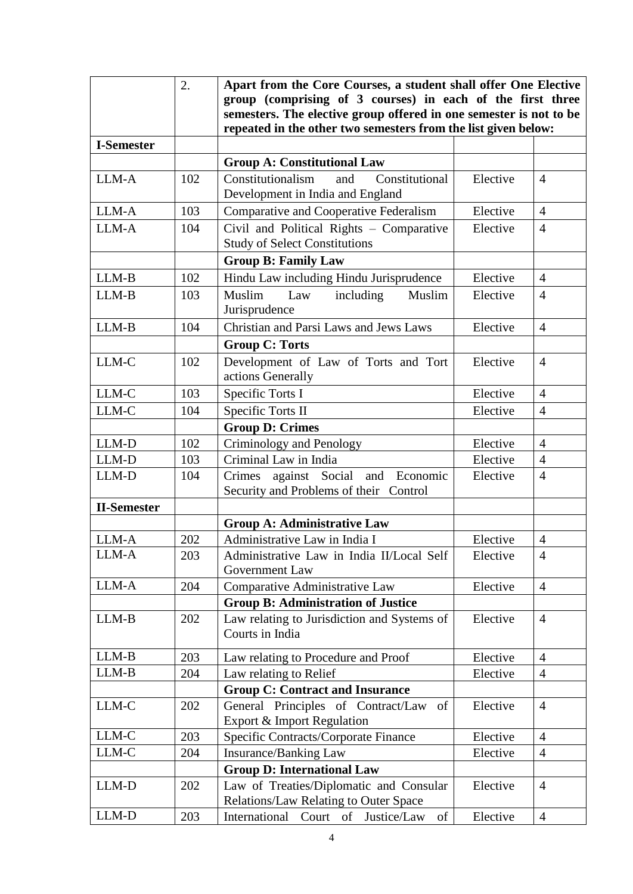|                    | 2.  | Apart from the Core Courses, a student shall offer One Elective    |          |                |
|--------------------|-----|--------------------------------------------------------------------|----------|----------------|
|                    |     | group (comprising of 3 courses) in each of the first three         |          |                |
|                    |     | semesters. The elective group offered in one semester is not to be |          |                |
|                    |     | repeated in the other two semesters from the list given below:     |          |                |
| <b>I-Semester</b>  |     |                                                                    |          |                |
|                    |     | <b>Group A: Constitutional Law</b>                                 |          |                |
| LLM-A              | 102 | Constitutional<br>Constitutionalism<br>and                         | Elective | $\overline{4}$ |
|                    |     | Development in India and England                                   |          |                |
| LLM-A              | 103 | Comparative and Cooperative Federalism                             | Elective | $\overline{4}$ |
| LLM-A              | 104 | Civil and Political Rights - Comparative                           | Elective | $\overline{4}$ |
|                    |     | <b>Study of Select Constitutions</b>                               |          |                |
|                    |     | <b>Group B: Family Law</b>                                         |          |                |
| $LLM-B$            | 102 | Hindu Law including Hindu Jurisprudence                            | Elective | $\overline{4}$ |
| LLM-B              | 103 | Muslim<br>Law<br>including<br>Muslim                               | Elective | $\overline{4}$ |
|                    |     | Jurisprudence                                                      |          |                |
| $LLM-B$            | 104 | Christian and Parsi Laws and Jews Laws                             | Elective | $\overline{4}$ |
|                    |     | <b>Group C: Torts</b>                                              |          |                |
| LLM-C              | 102 | Development of Law of Torts and Tort                               | Elective | $\overline{4}$ |
|                    |     | actions Generally                                                  |          |                |
| LLM-C              | 103 | Specific Torts I                                                   | Elective | $\overline{4}$ |
| LLM-C              | 104 | Specific Torts II                                                  | Elective | $\overline{4}$ |
|                    |     | <b>Group D: Crimes</b>                                             |          |                |
| LLM-D              | 102 | Criminology and Penology                                           | Elective | $\overline{4}$ |
| LLM-D              | 103 | Criminal Law in India                                              | Elective | $\overline{4}$ |
| LLM-D              | 104 | against Social and Economic<br>Crimes                              | Elective | $\overline{4}$ |
|                    |     | Security and Problems of their Control                             |          |                |
| <b>II-Semester</b> |     |                                                                    |          |                |
|                    |     | <b>Group A: Administrative Law</b>                                 |          |                |
| LLM-A              | 202 | Administrative Law in India I                                      | Elective | $\overline{4}$ |
| LLM-A              | 203 | Administrative Law in India II/Local Self                          | Elective | $\overline{4}$ |
|                    |     | Government Law                                                     |          |                |
| LLM-A              | 204 | Comparative Administrative Law                                     | Elective | $\overline{4}$ |
|                    |     | <b>Group B: Administration of Justice</b>                          |          |                |
| LLM-B              | 202 | Law relating to Jurisdiction and Systems of                        | Elective | $\overline{4}$ |
|                    |     | Courts in India                                                    |          |                |
| $LLM-B$            | 203 | Law relating to Procedure and Proof                                | Elective | $\overline{4}$ |
| LLM-B              | 204 | Law relating to Relief                                             | Elective | $\overline{4}$ |
|                    |     | <b>Group C: Contract and Insurance</b>                             |          |                |
| LLM-C              | 202 | General Principles of Contract/Law of                              | Elective | $\overline{4}$ |
|                    |     | Export & Import Regulation                                         |          |                |
| LLM-C              | 203 | Specific Contracts/Corporate Finance                               | Elective | $\overline{4}$ |
| LLM-C              | 204 | Elective<br>Insurance/Banking Law                                  |          | $\overline{4}$ |
|                    |     | <b>Group D: International Law</b>                                  |          |                |
| LLM-D              | 202 | Law of Treaties/Diplomatic and Consular                            | Elective | $\overline{4}$ |
|                    |     | Relations/Law Relating to Outer Space                              |          |                |
| $LLM-D$            | 203 | International<br>Court of<br>Justice/Law<br>of                     | Elective | $\overline{4}$ |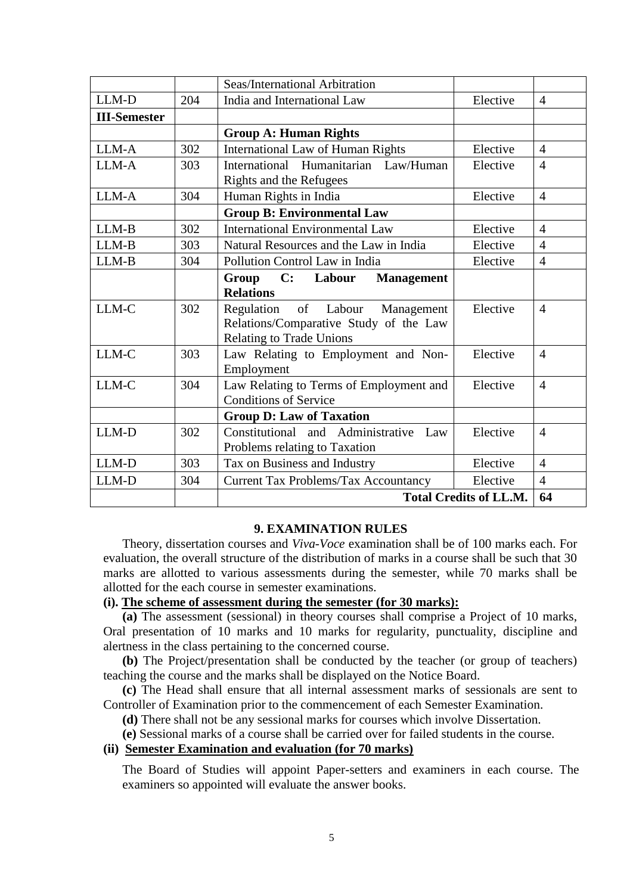|                     |     | Seas/International Arbitration                                                                                  |          |                |
|---------------------|-----|-----------------------------------------------------------------------------------------------------------------|----------|----------------|
| LLM-D               | 204 | India and International Law                                                                                     | Elective | $\overline{4}$ |
| <b>III-Semester</b> |     |                                                                                                                 |          |                |
|                     |     | <b>Group A: Human Rights</b>                                                                                    |          |                |
| LLM-A               | 302 | <b>International Law of Human Rights</b>                                                                        | Elective | $\overline{4}$ |
| LLM-A               | 303 | International Humanitarian Law/Human                                                                            | Elective | $\overline{4}$ |
|                     |     | Rights and the Refugees                                                                                         |          |                |
| LLM-A               | 304 | Human Rights in India                                                                                           | Elective | $\overline{4}$ |
|                     |     | <b>Group B: Environmental Law</b>                                                                               |          |                |
| LLM-B               | 302 | <b>International Environmental Law</b>                                                                          | Elective | $\overline{4}$ |
| LLM-B               | 303 | Natural Resources and the Law in India                                                                          | Elective | $\overline{4}$ |
| LLM-B               | 304 | Pollution Control Law in India                                                                                  | Elective | $\overline{4}$ |
|                     |     | C:<br>Labour<br>Group<br><b>Management</b><br><b>Relations</b>                                                  |          |                |
| LLM-C               | 302 | Regulation of Labour<br>Management<br>Relations/Comparative Study of the Law<br><b>Relating to Trade Unions</b> | Elective | 4              |
| LLM-C               | 303 | Law Relating to Employment and Non-<br>Employment                                                               | Elective | $\overline{4}$ |
| LLM-C               | 304 | Law Relating to Terms of Employment and<br><b>Conditions of Service</b>                                         | Elective | $\overline{4}$ |
|                     |     | <b>Group D: Law of Taxation</b>                                                                                 |          |                |
| LLM-D               | 302 | Constitutional and Administrative<br>Law                                                                        | Elective | $\overline{4}$ |
|                     |     | Problems relating to Taxation                                                                                   |          |                |
| LLM-D               | 303 | Tax on Business and Industry                                                                                    | Elective | $\overline{4}$ |
| LLM-D               | 304 | <b>Current Tax Problems/Tax Accountancy</b>                                                                     | Elective | $\overline{4}$ |
|                     |     | <b>Total Credits of LL.M.</b>                                                                                   |          | 64             |

#### **9. EXAMINATION RULES**

Theory, dissertation courses and *Viva-Voce* examination shall be of 100 marks each. For evaluation, the overall structure of the distribution of marks in a course shall be such that 30 marks are allotted to various assessments during the semester, while 70 marks shall be allotted for the each course in semester examinations.

#### **(i). The scheme of assessment during the semester (for 30 marks):**

**(a)** The assessment (sessional) in theory courses shall comprise a Project of 10 marks, Oral presentation of 10 marks and 10 marks for regularity, punctuality, discipline and alertness in the class pertaining to the concerned course.

**(b)** The Project/presentation shall be conducted by the teacher (or group of teachers) teaching the course and the marks shall be displayed on the Notice Board.

**(c)** The Head shall ensure that all internal assessment marks of sessionals are sent to Controller of Examination prior to the commencement of each Semester Examination.

**(d)** There shall not be any sessional marks for courses which involve Dissertation.

**(e)** Sessional marks of a course shall be carried over for failed students in the course.

## **(ii) Semester Examination and evaluation (for 70 marks)**

The Board of Studies will appoint Paper-setters and examiners in each course. The examiners so appointed will evaluate the answer books.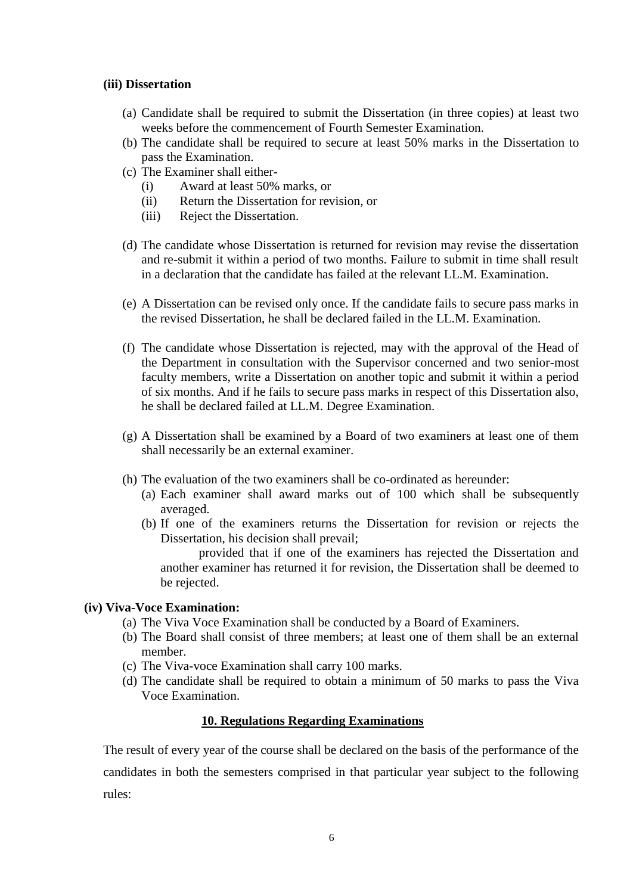#### **(iii) Dissertation**

- (a) Candidate shall be required to submit the Dissertation (in three copies) at least two weeks before the commencement of Fourth Semester Examination.
- (b) The candidate shall be required to secure at least 50% marks in the Dissertation to pass the Examination.
- (c) The Examiner shall either-
	- (i) Award at least 50% marks, or
	- (ii) Return the Dissertation for revision, or
	- (iii) Reject the Dissertation.
- (d) The candidate whose Dissertation is returned for revision may revise the dissertation and re-submit it within a period of two months. Failure to submit in time shall result in a declaration that the candidate has failed at the relevant LL.M. Examination.
- (e) A Dissertation can be revised only once. If the candidate fails to secure pass marks in the revised Dissertation, he shall be declared failed in the LL.M. Examination.
- (f) The candidate whose Dissertation is rejected, may with the approval of the Head of the Department in consultation with the Supervisor concerned and two senior-most faculty members, write a Dissertation on another topic and submit it within a period of six months. And if he fails to secure pass marks in respect of this Dissertation also, he shall be declared failed at LL.M. Degree Examination.
- (g) A Dissertation shall be examined by a Board of two examiners at least one of them shall necessarily be an external examiner.
- (h) The evaluation of the two examiners shall be co-ordinated as hereunder:
	- (a) Each examiner shall award marks out of 100 which shall be subsequently averaged.
	- (b) If one of the examiners returns the Dissertation for revision or rejects the Dissertation, his decision shall prevail;

provided that if one of the examiners has rejected the Dissertation and another examiner has returned it for revision, the Dissertation shall be deemed to be rejected.

#### **(iv) Viva-Voce Examination:**

- (a) The Viva Voce Examination shall be conducted by a Board of Examiners.
- (b) The Board shall consist of three members; at least one of them shall be an external member.
- (c) The Viva-voce Examination shall carry 100 marks.
- (d) The candidate shall be required to obtain a minimum of 50 marks to pass the Viva Voce Examination.

#### **10. Regulations Regarding Examinations**

The result of every year of the course shall be declared on the basis of the performance of the candidates in both the semesters comprised in that particular year subject to the following rules: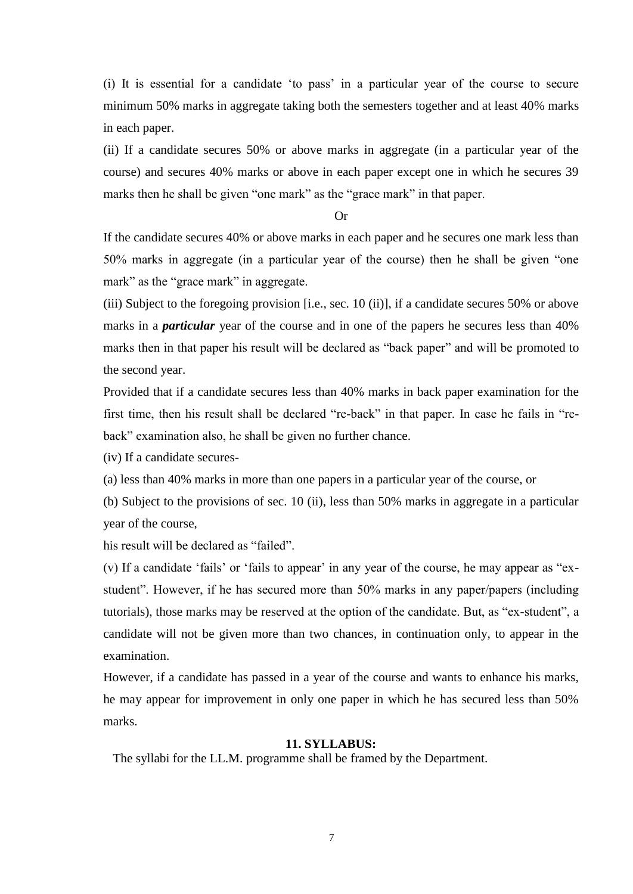(i) It is essential for a candidate 'to pass' in a particular year of the course to secure minimum 50% marks in aggregate taking both the semesters together and at least 40% marks in each paper.

(ii) If a candidate secures 50% or above marks in aggregate (in a particular year of the course) and secures 40% marks or above in each paper except one in which he secures 39 marks then he shall be given "one mark" as the "grace mark" in that paper.

## Or

If the candidate secures 40% or above marks in each paper and he secures one mark less than 50% marks in aggregate (in a particular year of the course) then he shall be given "one mark" as the "grace mark" in aggregate.

(iii) Subject to the foregoing provision [i.e., sec. 10 (ii)], if a candidate secures 50% or above marks in a *particular* year of the course and in one of the papers he secures less than 40% marks then in that paper his result will be declared as "back paper" and will be promoted to the second year.

Provided that if a candidate secures less than 40% marks in back paper examination for the first time, then his result shall be declared "re-back" in that paper. In case he fails in "reback" examination also, he shall be given no further chance.

(iv) If a candidate secures-

(a) less than 40% marks in more than one papers in a particular year of the course, or

(b) Subject to the provisions of sec. 10 (ii), less than 50% marks in aggregate in a particular year of the course,

his result will be declared as "failed".

(v) If a candidate 'fails' or 'fails to appear' in any year of the course, he may appear as "exstudent". However, if he has secured more than 50% marks in any paper/papers (including tutorials), those marks may be reserved at the option of the candidate. But, as "ex-student", a candidate will not be given more than two chances, in continuation only, to appear in the examination.

However, if a candidate has passed in a year of the course and wants to enhance his marks, he may appear for improvement in only one paper in which he has secured less than 50% marks.

#### **11. SYLLABUS:**

The syllabi for the LL.M. programme shall be framed by the Department.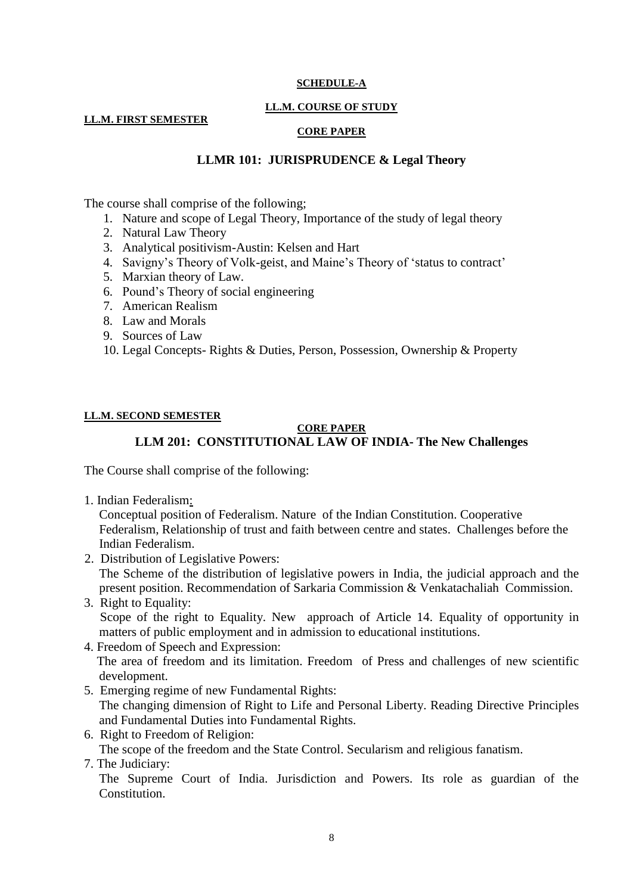#### **SCHEDULE-A**

#### **LL.M. COURSE OF STUDY**

#### **LL.M. FIRST SEMESTER**

#### **CORE PAPER**

## **LLMR 101: JURISPRUDENCE & Legal Theory**

The course shall comprise of the following;

- 1. Nature and scope of Legal Theory, Importance of the study of legal theory
- 2. Natural Law Theory
- 3. Analytical positivism-Austin: Kelsen and Hart
- 4. Savigny's Theory of Volk-geist, and Maine's Theory of 'status to contract'
- 5. Marxian theory of Law.
- 6. Pound's Theory of social engineering
- 7. American Realism
- 8. Law and Morals
- 9. Sources of Law
- 10. Legal Concepts- Rights & Duties, Person, Possession, Ownership & Property

#### **LL.M. SECOND SEMESTER**

#### **CORE PAPER LLM 201: CONSTITUTIONAL LAW OF INDIA- The New Challenges**

The Course shall comprise of the following:

1. Indian Federalism:

Conceptual position of Federalism. Nature of the Indian Constitution. Cooperative Federalism, Relationship of trust and faith between centre and states. Challenges before the Indian Federalism.

- 2. Distribution of Legislative Powers: The Scheme of the distribution of legislative powers in India, the judicial approach and the present position. Recommendation of Sarkaria Commission & Venkatachaliah Commission.
- 3. Right to Equality: Scope of the right to Equality. New approach of Article 14. Equality of opportunity in matters of public employment and in admission to educational institutions.
- 4. Freedom of Speech and Expression: The area of freedom and its limitation. Freedom of Press and challenges of new scientific development.
- 5. Emerging regime of new Fundamental Rights: The changing dimension of Right to Life and Personal Liberty. Reading Directive Principles and Fundamental Duties into Fundamental Rights.
- 6. Right to Freedom of Religion: The scope of the freedom and the State Control. Secularism and religious fanatism.
- 7. The Judiciary:

The Supreme Court of India. Jurisdiction and Powers. Its role as guardian of the Constitution.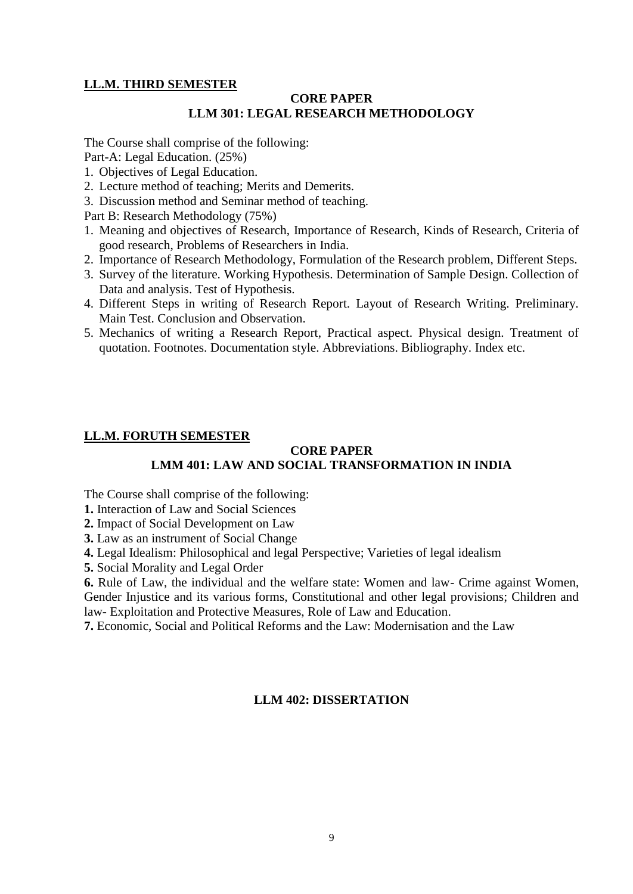## **LL.M. THIRD SEMESTER**

## **CORE PAPER LLM 301: LEGAL RESEARCH METHODOLOGY**

The Course shall comprise of the following:

Part-A: Legal Education. (25%)

- 1. Objectives of Legal Education.
- 2. Lecture method of teaching; Merits and Demerits.
- 3. Discussion method and Seminar method of teaching.

Part B: Research Methodology (75%)

- 1. Meaning and objectives of Research, Importance of Research, Kinds of Research, Criteria of good research, Problems of Researchers in India.
- 2. Importance of Research Methodology, Formulation of the Research problem, Different Steps.
- 3. Survey of the literature. Working Hypothesis. Determination of Sample Design. Collection of Data and analysis. Test of Hypothesis.
- 4. Different Steps in writing of Research Report. Layout of Research Writing. Preliminary. Main Test. Conclusion and Observation.
- 5. Mechanics of writing a Research Report, Practical aspect. Physical design. Treatment of quotation. Footnotes. Documentation style. Abbreviations. Bibliography. Index etc.

## **LL.M. FORUTH SEMESTER**

#### **CORE PAPER LMM 401: LAW AND SOCIAL TRANSFORMATION IN INDIA**

The Course shall comprise of the following:

**1.** Interaction of Law and Social Sciences

**2.** Impact of Social Development on Law

**3.** Law as an instrument of Social Change

**4.** Legal Idealism: Philosophical and legal Perspective; Varieties of legal idealism

**5.** Social Morality and Legal Order

**6.** Rule of Law, the individual and the welfare state: Women and law- Crime against Women, Gender Injustice and its various forms, Constitutional and other legal provisions; Children and law- Exploitation and Protective Measures, Role of Law and Education.

**7.** Economic, Social and Political Reforms and the Law: Modernisation and the Law

## **LLM 402: DISSERTATION**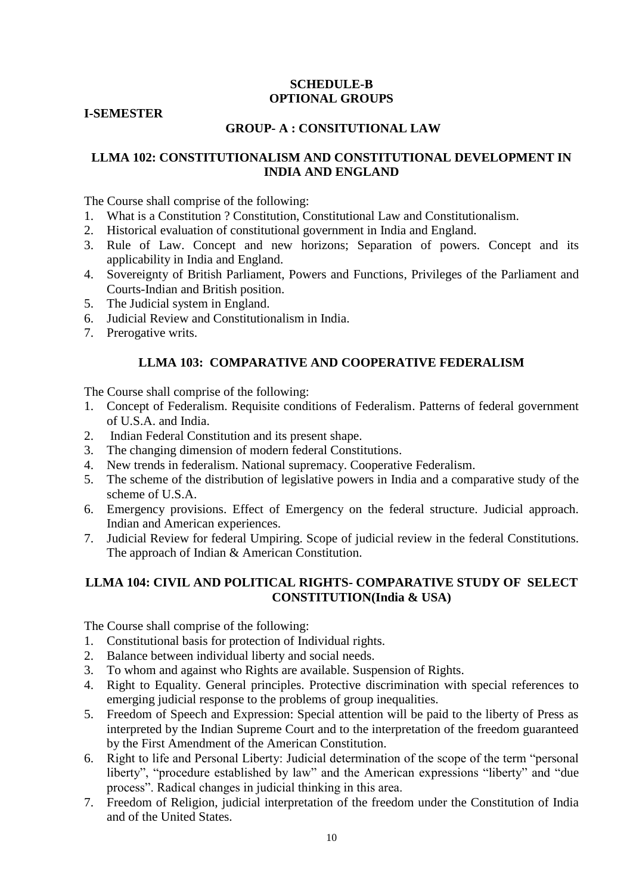## **SCHEDULE-B OPTIONAL GROUPS**

#### **I-SEMESTER**

## **GROUP- A : CONSITUTIONAL LAW**

## **LLMA 102: CONSTITUTIONALISM AND CONSTITUTIONAL DEVELOPMENT IN INDIA AND ENGLAND**

The Course shall comprise of the following:

- 1. What is a Constitution ? Constitution, Constitutional Law and Constitutionalism.
- 2. Historical evaluation of constitutional government in India and England.
- 3. Rule of Law. Concept and new horizons; Separation of powers. Concept and its applicability in India and England.
- 4. Sovereignty of British Parliament, Powers and Functions, Privileges of the Parliament and Courts-Indian and British position.
- 5. The Judicial system in England.
- 6. Judicial Review and Constitutionalism in India.
- 7. Prerogative writs.

#### **LLMA 103: COMPARATIVE AND COOPERATIVE FEDERALISM**

The Course shall comprise of the following:

- 1. Concept of Federalism. Requisite conditions of Federalism. Patterns of federal government of U.S.A. and India.
- 2. Indian Federal Constitution and its present shape.
- 3. The changing dimension of modern federal Constitutions.
- 4. New trends in federalism. National supremacy. Cooperative Federalism.
- 5. The scheme of the distribution of legislative powers in India and a comparative study of the scheme of U.S.A.
- 6. Emergency provisions. Effect of Emergency on the federal structure. Judicial approach. Indian and American experiences.
- 7. Judicial Review for federal Umpiring. Scope of judicial review in the federal Constitutions. The approach of Indian & American Constitution.

## **LLMA 104: CIVIL AND POLITICAL RIGHTS- COMPARATIVE STUDY OF SELECT CONSTITUTION(India & USA)**

- 1. Constitutional basis for protection of Individual rights.
- 2. Balance between individual liberty and social needs.
- 3. To whom and against who Rights are available. Suspension of Rights.
- 4. Right to Equality. General principles. Protective discrimination with special references to emerging judicial response to the problems of group inequalities.
- 5. Freedom of Speech and Expression: Special attention will be paid to the liberty of Press as interpreted by the Indian Supreme Court and to the interpretation of the freedom guaranteed by the First Amendment of the American Constitution.
- 6. Right to life and Personal Liberty: Judicial determination of the scope of the term "personal liberty", "procedure established by law" and the American expressions "liberty" and "due process". Radical changes in judicial thinking in this area.
- 7. Freedom of Religion, judicial interpretation of the freedom under the Constitution of India and of the United States.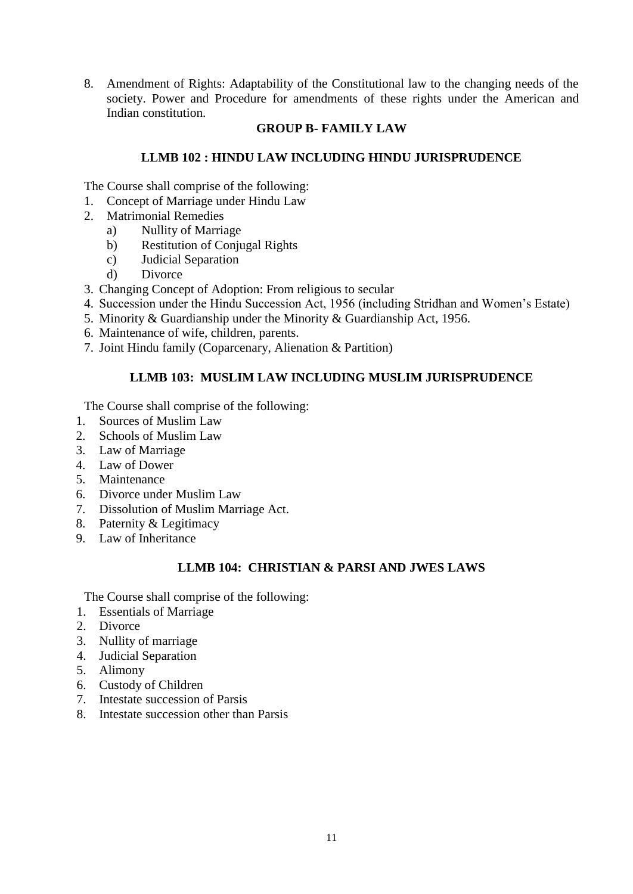8. Amendment of Rights: Adaptability of the Constitutional law to the changing needs of the society. Power and Procedure for amendments of these rights under the American and Indian constitution.

## **GROUP B- FAMILY LAW**

## **LLMB 102 : HINDU LAW INCLUDING HINDU JURISPRUDENCE**

The Course shall comprise of the following:

- 1. Concept of Marriage under Hindu Law
- 2. Matrimonial Remedies
	- a) Nullity of Marriage
	- b) Restitution of Conjugal Rights
	- c) Judicial Separation
	- d) Divorce
- 3. Changing Concept of Adoption: From religious to secular
- 4. Succession under the Hindu Succession Act, 1956 (including Stridhan and Women's Estate)
- 5. Minority & Guardianship under the Minority & Guardianship Act, 1956.
- 6. Maintenance of wife, children, parents.
- 7. Joint Hindu family (Coparcenary, Alienation & Partition)

## **LLMB 103: MUSLIM LAW INCLUDING MUSLIM JURISPRUDENCE**

The Course shall comprise of the following:

- 1. Sources of Muslim Law
- 2. Schools of Muslim Law
- 3. Law of Marriage
- 4. Law of Dower
- 5. Maintenance
- 6. Divorce under Muslim Law
- 7. Dissolution of Muslim Marriage Act.
- 8. Paternity & Legitimacy
- 9. Law of Inheritance

## **LLMB 104: CHRISTIAN & PARSI AND JWES LAWS**

- 1. Essentials of Marriage
- 2. Divorce
- 3. Nullity of marriage
- 4. Judicial Separation
- 5. Alimony
- 6. Custody of Children
- 7. Intestate succession of Parsis
- 8. Intestate succession other than Parsis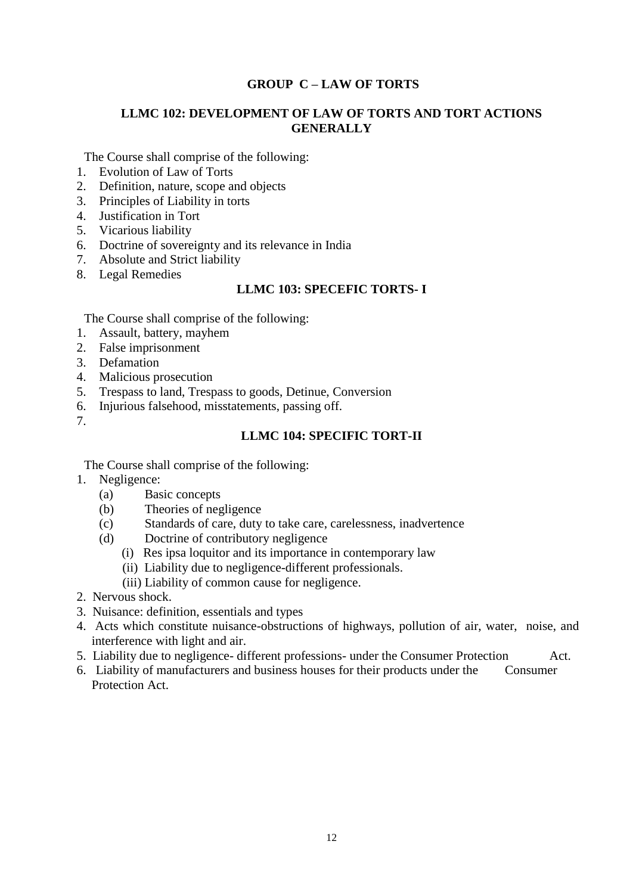## **GROUP C – LAW OF TORTS**

## **LLMC 102: DEVELOPMENT OF LAW OF TORTS AND TORT ACTIONS GENERALLY**

The Course shall comprise of the following:

- 1. Evolution of Law of Torts
- 2. Definition, nature, scope and objects
- 3. Principles of Liability in torts
- 4. Justification in Tort
- 5. Vicarious liability
- 6. Doctrine of sovereignty and its relevance in India
- 7. Absolute and Strict liability
- 8. Legal Remedies

## **LLMC 103: SPECEFIC TORTS- I**

The Course shall comprise of the following:

- 1. Assault, battery, mayhem
- 2. False imprisonment
- 3. Defamation
- 4. Malicious prosecution
- 5. Trespass to land, Trespass to goods, Detinue, Conversion
- 6. Injurious falsehood, misstatements, passing off.
- 7.

#### **LLMC 104: SPECIFIC TORT-II**

- 1. Negligence:
	- (a) Basic concepts
	- (b) Theories of negligence
	- (c) Standards of care, duty to take care, carelessness, inadvertence
	- (d) Doctrine of contributory negligence
		- (i) Res ipsa loquitor and its importance in contemporary law
		- (ii) Liability due to negligence-different professionals.
		- (iii) Liability of common cause for negligence.
- 2. Nervous shock.
- 3. Nuisance: definition, essentials and types
- 4. Acts which constitute nuisance-obstructions of highways, pollution of air, water, noise, and interference with light and air.
- 5. Liability due to negligence- different professions- under the Consumer Protection Act.
- 6. Liability of manufacturers and business houses for their products under the Consumer Protection Act.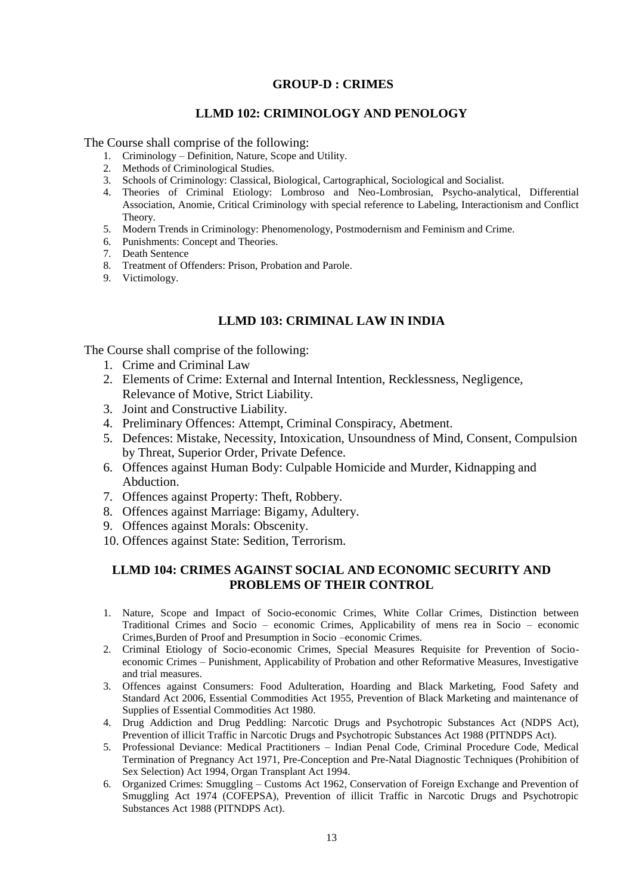#### **GROUP-D : CRIMES**

#### **LLMD 102: CRIMINOLOGY AND PENOLOGY**

The Course shall comprise of the following:

- 1. Criminology Definition, Nature, Scope and Utility.
- 2. Methods of Criminological Studies.
- 3. Schools of Criminology: Classical, Biological, Cartographical, Sociological and Socialist.
- 4. Theories of Criminal Etiology: Lombroso and Neo-Lombrosian, Psycho-analytical, Differential Association, Anomie, Critical Criminology with special reference to Labeling, Interactionism and Conflict Theory.
- 5. Modern Trends in Criminology: Phenomenology, Postmodernism and Feminism and Crime.
- 6. Punishments: Concept and Theories.
- 7. Death Sentence
- 8. Treatment of Offenders: Prison, Probation and Parole.
- 9. Victimology.

## **LLMD 103: CRIMINAL LAW IN INDIA**

The Course shall comprise of the following:

- 1. Crime and Criminal Law
- 2. Elements of Crime: External and Internal Intention, Recklessness, Negligence, Relevance of Motive, Strict Liability.
- 3. Joint and Constructive Liability.
- 4. Preliminary Offences: Attempt, Criminal Conspiracy, Abetment.
- 5. Defences: Mistake, Necessity, Intoxication, Unsoundness of Mind, Consent, Compulsion by Threat, Superior Order, Private Defence.
- 6. Offences against Human Body: Culpable Homicide and Murder, Kidnapping and Abduction.
- 7. Offences against Property: Theft, Robbery.
- 8. Offences against Marriage: Bigamy, Adultery.
- 9. Offences against Morals: Obscenity.
- 10. Offences against State: Sedition, Terrorism.

## **LLMD 104: CRIMES AGAINST SOCIAL AND ECONOMIC SECURITY AND PROBLEMS OF THEIR CONTROL**

- 1. Nature, Scope and Impact of Socio-economic Crimes, White Collar Crimes, Distinction between Traditional Crimes and Socio – economic Crimes, Applicability of mens rea in Socio – economic Crimes,Burden of Proof and Presumption in Socio –economic Crimes.
- 2. Criminal Etiology of Socio-economic Crimes, Special Measures Requisite for Prevention of Socioeconomic Crimes – Punishment, Applicability of Probation and other Reformative Measures, Investigative and trial measures.
- 3. Offences against Consumers: Food Adulteration, Hoarding and Black Marketing, Food Safety and Standard Act 2006, Essential Commodities Act 1955, Prevention of Black Marketing and maintenance of Supplies of Essential Commodities Act 1980.
- 4. Drug Addiction and Drug Peddling: Narcotic Drugs and Psychotropic Substances Act (NDPS Act), Prevention of illicit Traffic in Narcotic Drugs and Psychotropic Substances Act 1988 (PITNDPS Act).
- 5. Professional Deviance: Medical Practitioners Indian Penal Code, Criminal Procedure Code, Medical Termination of Pregnancy Act 1971, Pre-Conception and Pre-Natal Diagnostic Techniques (Prohibition of Sex Selection) Act 1994, Organ Transplant Act 1994.
- 6. Organized Crimes: Smuggling Customs Act 1962, Conservation of Foreign Exchange and Prevention of Smuggling Act 1974 (COFEPSA), Prevention of illicit Traffic in Narcotic Drugs and Psychotropic Substances Act 1988 (PITNDPS Act).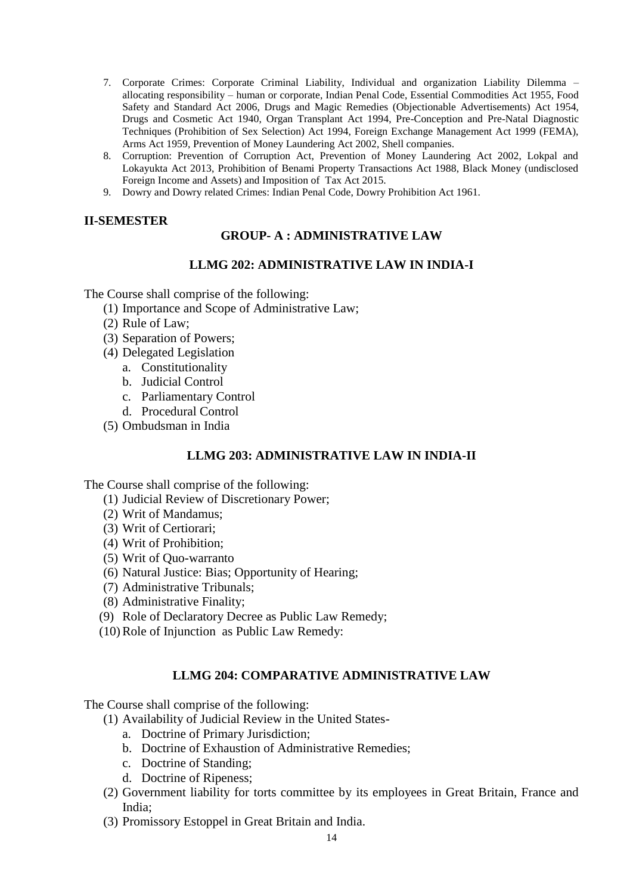- 7. Corporate Crimes: Corporate Criminal Liability, Individual and organization Liability Dilemma allocating responsibility – human or corporate, Indian Penal Code, Essential Commodities Act 1955, Food Safety and Standard Act 2006, Drugs and Magic Remedies (Objectionable Advertisements) Act 1954, Drugs and Cosmetic Act 1940, Organ Transplant Act 1994, Pre-Conception and Pre-Natal Diagnostic Techniques (Prohibition of Sex Selection) Act 1994, Foreign Exchange Management Act 1999 (FEMA), Arms Act 1959, Prevention of Money Laundering Act 2002, Shell companies.
- 8. Corruption: Prevention of Corruption Act, Prevention of Money Laundering Act 2002, Lokpal and Lokayukta Act 2013, Prohibition of Benami Property Transactions Act 1988, Black Money (undisclosed Foreign Income and Assets) and Imposition of Tax Act 2015.
- 9. Dowry and Dowry related Crimes: Indian Penal Code, Dowry Prohibition Act 1961.

## **II-SEMESTER**

## **GROUP- A : ADMINISTRATIVE LAW**

#### **LLMG 202: ADMINISTRATIVE LAW IN INDIA-I**

The Course shall comprise of the following:

- (1) Importance and Scope of Administrative Law;
- (2) Rule of Law;
- (3) Separation of Powers;
- (4) Delegated Legislation
	- a. Constitutionality
	- b. Judicial Control
	- c. Parliamentary Control
	- d. Procedural Control
- (5) Ombudsman in India

#### **LLMG 203: ADMINISTRATIVE LAW IN INDIA-II**

The Course shall comprise of the following:

- (1) Judicial Review of Discretionary Power;
- (2) Writ of Mandamus;
- (3) Writ of Certiorari;
- (4) Writ of Prohibition;
- (5) Writ of Quo-warranto
- (6) Natural Justice: Bias; Opportunity of Hearing;
- (7) Administrative Tribunals;
- (8) Administrative Finality;
- (9) Role of Declaratory Decree as Public Law Remedy;
- (10)Role of Injunction as Public Law Remedy:

#### **LLMG 204: COMPARATIVE ADMINISTRATIVE LAW**

- (1) Availability of Judicial Review in the United States
	- a. Doctrine of Primary Jurisdiction;
	- b. Doctrine of Exhaustion of Administrative Remedies;
	- c. Doctrine of Standing;
	- d. Doctrine of Ripeness;
- (2) Government liability for torts committee by its employees in Great Britain, France and India;
- (3) Promissory Estoppel in Great Britain and India.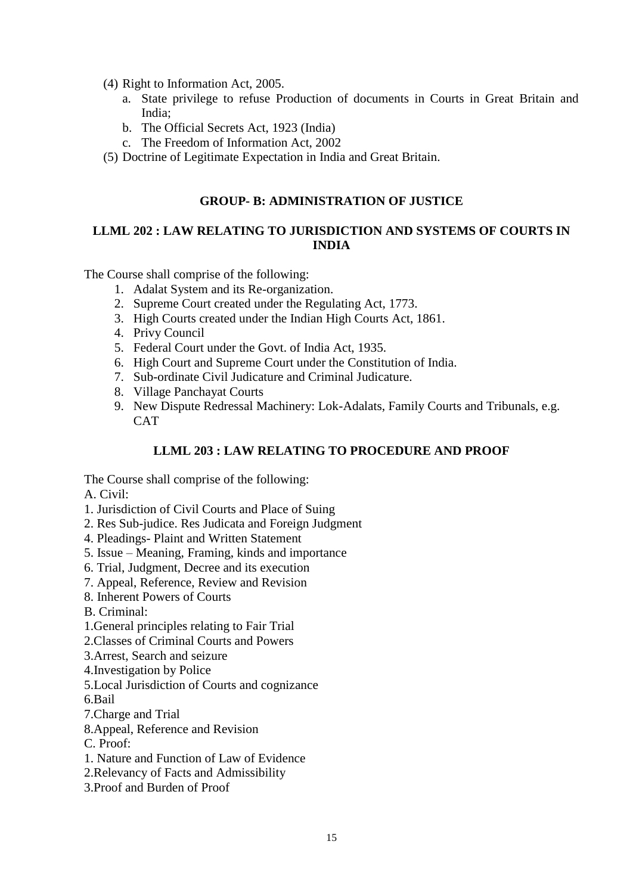- (4) Right to Information Act, 2005.
	- a. State privilege to refuse Production of documents in Courts in Great Britain and India;
	- b. The Official Secrets Act, 1923 (India)
	- c. The Freedom of Information Act, 2002
- (5) Doctrine of Legitimate Expectation in India and Great Britain.

#### **GROUP- B: ADMINISTRATION OF JUSTICE**

## **LLML 202 : LAW RELATING TO JURISDICTION AND SYSTEMS OF COURTS IN INDIA**

The Course shall comprise of the following:

- 1. Adalat System and its Re-organization.
- 2. Supreme Court created under the Regulating Act, 1773.
- 3. High Courts created under the Indian High Courts Act, 1861.
- 4. Privy Council
- 5. Federal Court under the Govt. of India Act, 1935.
- 6. High Court and Supreme Court under the Constitution of India.
- 7. Sub-ordinate Civil Judicature and Criminal Judicature.
- 8. Village Panchayat Courts
- 9. New Dispute Redressal Machinery: Lok-Adalats, Family Courts and Tribunals, e.g. **CAT**

## **LLML 203 : LAW RELATING TO PROCEDURE AND PROOF**

The Course shall comprise of the following:

A. Civil:

- 1. Jurisdiction of Civil Courts and Place of Suing
- 2. Res Sub-judice. Res Judicata and Foreign Judgment
- 4. Pleadings- Plaint and Written Statement
- 5. Issue Meaning, Framing, kinds and importance
- 6. Trial, Judgment, Decree and its execution
- 7. Appeal, Reference, Review and Revision
- 8. Inherent Powers of Courts
- B. Criminal:
- 1.General principles relating to Fair Trial
- 2.Classes of Criminal Courts and Powers
- 3.Arrest, Search and seizure
- 4.Investigation by Police
- 5.Local Jurisdiction of Courts and cognizance
- 6.Bail
- 7.Charge and Trial
- 8.Appeal, Reference and Revision
- C. Proof:
- 1. Nature and Function of Law of Evidence
- 2.Relevancy of Facts and Admissibility
- 3.Proof and Burden of Proof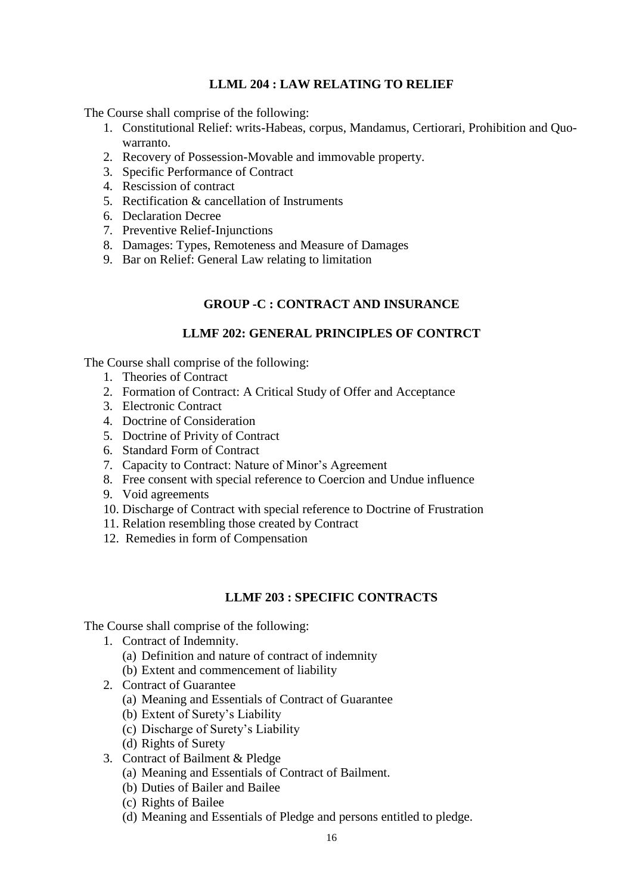## **LLML 204 : LAW RELATING TO RELIEF**

The Course shall comprise of the following:

- 1. Constitutional Relief: writs-Habeas, corpus, Mandamus, Certiorari, Prohibition and Quowarranto.
- 2. Recovery of Possession-Movable and immovable property.
- 3. Specific Performance of Contract
- 4. Rescission of contract
- 5. Rectification & cancellation of Instruments
- 6. Declaration Decree
- 7. Preventive Relief-Injunctions
- 8. Damages: Types, Remoteness and Measure of Damages
- 9. Bar on Relief: General Law relating to limitation

## **GROUP -C : CONTRACT AND INSURANCE**

#### **LLMF 202: GENERAL PRINCIPLES OF CONTRCT**

The Course shall comprise of the following:

- 1. Theories of Contract
- 2. Formation of Contract: A Critical Study of Offer and Acceptance
- 3. Electronic Contract
- 4. Doctrine of Consideration
- 5. Doctrine of Privity of Contract
- 6. Standard Form of Contract
- 7. Capacity to Contract: Nature of Minor's Agreement
- 8. Free consent with special reference to Coercion and Undue influence
- 9. Void agreements
- 10. Discharge of Contract with special reference to Doctrine of Frustration
- 11. Relation resembling those created by Contract
- 12. Remedies in form of Compensation

#### **LLMF 203 : SPECIFIC CONTRACTS**

- 1. Contract of Indemnity.
	- (a) Definition and nature of contract of indemnity
	- (b) Extent and commencement of liability
- 2. Contract of Guarantee
	- (a) Meaning and Essentials of Contract of Guarantee
	- (b) Extent of Surety's Liability
	- (c) Discharge of Surety's Liability
	- (d) Rights of Surety
- 3. Contract of Bailment & Pledge
	- (a) Meaning and Essentials of Contract of Bailment.
	- (b) Duties of Bailer and Bailee
	- (c) Rights of Bailee
	- (d) Meaning and Essentials of Pledge and persons entitled to pledge.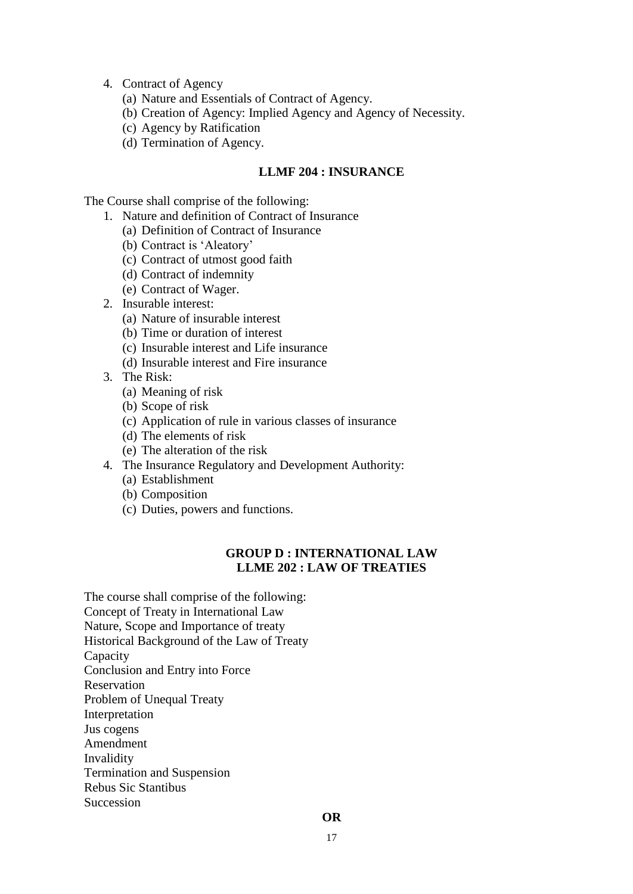#### 4. Contract of Agency

- (a) Nature and Essentials of Contract of Agency.
- (b) Creation of Agency: Implied Agency and Agency of Necessity.
- (c) Agency by Ratification
- (d) Termination of Agency.

#### **LLMF 204 : INSURANCE**

The Course shall comprise of the following:

- 1. Nature and definition of Contract of Insurance
	- (a) Definition of Contract of Insurance
	- (b) Contract is 'Aleatory'
	- (c) Contract of utmost good faith
	- (d) Contract of indemnity
	- (e) Contract of Wager.
- 2. Insurable interest:
	- (a) Nature of insurable interest
	- (b) Time or duration of interest
	- (c) Insurable interest and Life insurance
	- (d) Insurable interest and Fire insurance
- 3. The Risk:
	- (a) Meaning of risk
	- (b) Scope of risk
	- (c) Application of rule in various classes of insurance
	- (d) The elements of risk
	- (e) The alteration of the risk
- 4. The Insurance Regulatory and Development Authority:
	- (a) Establishment
	- (b) Composition
	- (c) Duties, powers and functions.

## **GROUP D : INTERNATIONAL LAW LLME 202 : LAW OF TREATIES**

The course shall comprise of the following: Concept of Treaty in International Law Nature, Scope and Importance of treaty Historical Background of the Law of Treaty Capacity Conclusion and Entry into Force Reservation Problem of Unequal Treaty Interpretation Jus cogens Amendment Invalidity Termination and Suspension Rebus Sic Stantibus Succession

#### **OR**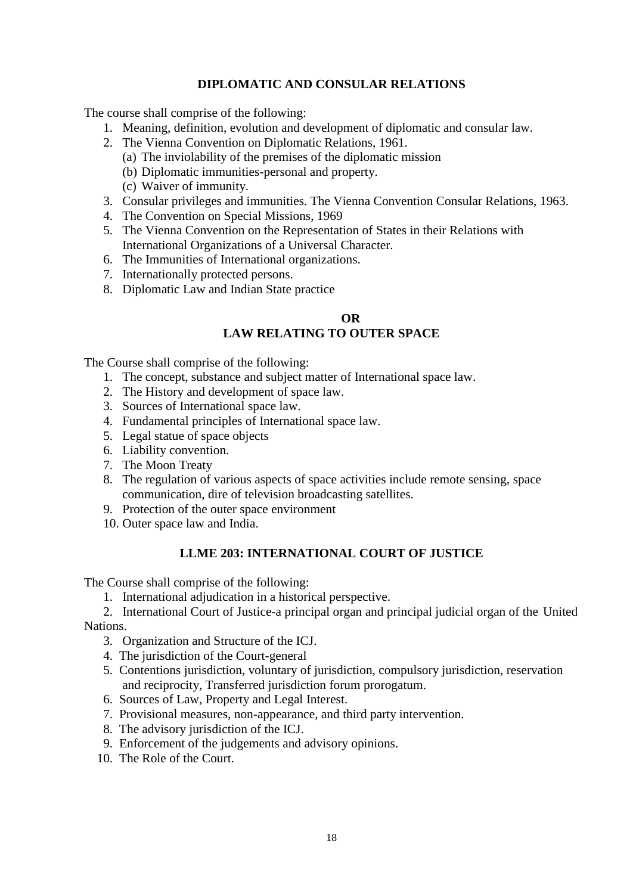## **DIPLOMATIC AND CONSULAR RELATIONS**

The course shall comprise of the following:

- 1. Meaning, definition, evolution and development of diplomatic and consular law.
- 2. The Vienna Convention on Diplomatic Relations, 1961.
	- (a) The inviolability of the premises of the diplomatic mission
	- (b) Diplomatic immunities-personal and property.
	- (c) Waiver of immunity.
- 3. Consular privileges and immunities. The Vienna Convention Consular Relations, 1963.
- 4. The Convention on Special Missions, 1969
- 5. The Vienna Convention on the Representation of States in their Relations with International Organizations of a Universal Character.
- 6. The Immunities of International organizations.
- 7. Internationally protected persons.
- 8. Diplomatic Law and Indian State practice

#### **OR LAW RELATING TO OUTER SPACE**

The Course shall comprise of the following:

- 1. The concept, substance and subject matter of International space law.
- 2. The History and development of space law.
- 3. Sources of International space law.
- 4. Fundamental principles of International space law.
- 5. Legal statue of space objects
- 6. Liability convention.
- 7. The Moon Treaty
- 8. The regulation of various aspects of space activities include remote sensing, space communication, dire of television broadcasting satellites.
- 9. Protection of the outer space environment
- 10. Outer space law and India.

## **LLME 203: INTERNATIONAL COURT OF JUSTICE**

The Course shall comprise of the following:

1. International adjudication in a historical perspective.

 2. International Court of Justice-a principal organ and principal judicial organ of the United Nations.

- 3. Organization and Structure of the ICJ.
- 4. The jurisdiction of the Court-general
- 5. Contentions jurisdiction, voluntary of jurisdiction, compulsory jurisdiction, reservation and reciprocity, Transferred jurisdiction forum prorogatum.
- 6. Sources of Law, Property and Legal Interest.
- 7. Provisional measures, non-appearance, and third party intervention.
- 8. The advisory jurisdiction of the ICJ.
- 9. Enforcement of the judgements and advisory opinions.
- 10. The Role of the Court.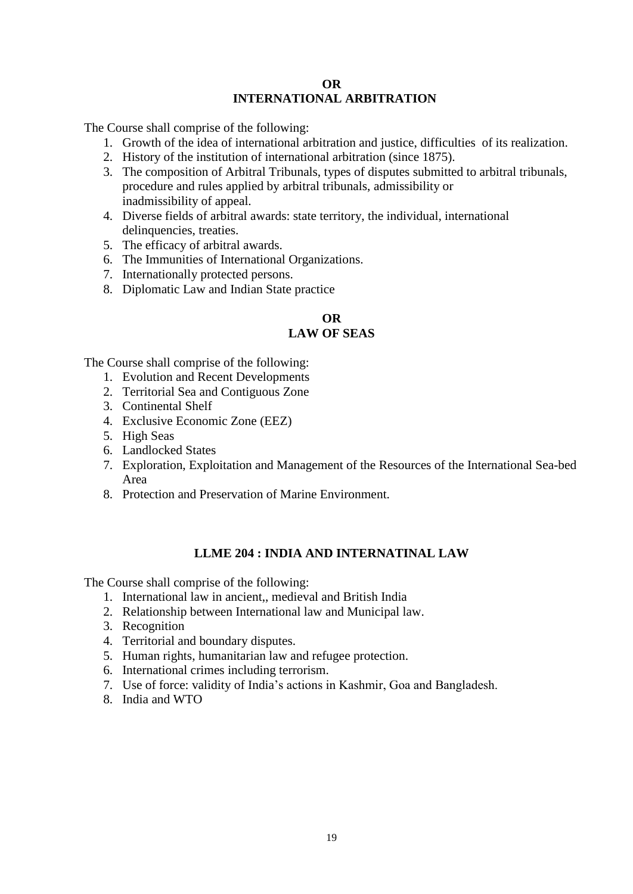## **OR INTERNATIONAL ARBITRATION**

The Course shall comprise of the following:

- 1. Growth of the idea of international arbitration and justice, difficulties of its realization.
- 2. History of the institution of international arbitration (since 1875).
- 3. The composition of Arbitral Tribunals, types of disputes submitted to arbitral tribunals, procedure and rules applied by arbitral tribunals, admissibility or inadmissibility of appeal.
- 4. Diverse fields of arbitral awards: state territory, the individual, international delinquencies, treaties.
- 5. The efficacy of arbitral awards.
- 6. The Immunities of International Organizations.
- 7. Internationally protected persons.
- 8. Diplomatic Law and Indian State practice

#### **OR LAW OF SEAS**

The Course shall comprise of the following:

- 1. Evolution and Recent Developments
- 2. Territorial Sea and Contiguous Zone
- 3. Continental Shelf
- 4. Exclusive Economic Zone (EEZ)
- 5. High Seas
- 6. Landlocked States
- 7. Exploration, Exploitation and Management of the Resources of the International Sea-bed Area
- 8. Protection and Preservation of Marine Environment.

## **LLME 204 : INDIA AND INTERNATINAL LAW**

- 1. International law in ancient,, medieval and British India
- 2. Relationship between International law and Municipal law.
- 3. Recognition
- 4. Territorial and boundary disputes.
- 5. Human rights, humanitarian law and refugee protection.
- 6. International crimes including terrorism.
- 7. Use of force: validity of India's actions in Kashmir, Goa and Bangladesh.
- 8. India and WTO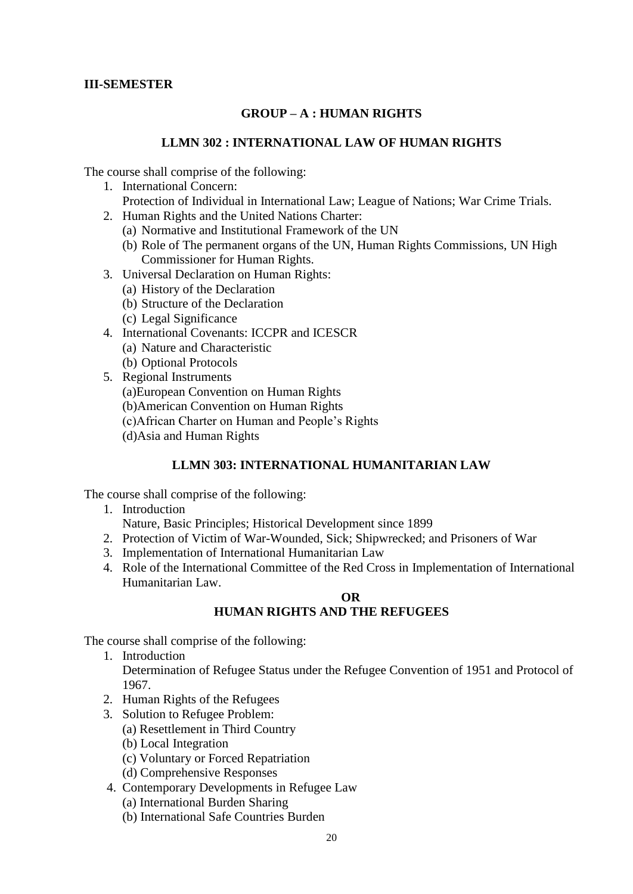## **III-SEMESTER**

## **GROUP – A : HUMAN RIGHTS**

#### **LLMN 302 : INTERNATIONAL LAW OF HUMAN RIGHTS**

The course shall comprise of the following:

- 1. International Concern:
	- Protection of Individual in International Law; League of Nations; War Crime Trials.
- 2. Human Rights and the United Nations Charter:
	- (a) Normative and Institutional Framework of the UN
	- (b) Role of The permanent organs of the UN, Human Rights Commissions, UN High Commissioner for Human Rights.
- 3. Universal Declaration on Human Rights:
	- (a) History of the Declaration
	- (b) Structure of the Declaration
	- (c) Legal Significance
- 4. International Covenants: ICCPR and ICESCR
	- (a) Nature and Characteristic
	- (b) Optional Protocols
- 5. Regional Instruments
	- (a)European Convention on Human Rights
	- (b)American Convention on Human Rights
	- (c)African Charter on Human and People's Rights
	- (d)Asia and Human Rights

#### **LLMN 303: INTERNATIONAL HUMANITARIAN LAW**

The course shall comprise of the following:

- 1. Introduction Nature, Basic Principles; Historical Development since 1899
- 2. Protection of Victim of War-Wounded, Sick; Shipwrecked; and Prisoners of War
- 3. Implementation of International Humanitarian Law
- 4. Role of the International Committee of the Red Cross in Implementation of International Humanitarian Law.

#### **OR HUMAN RIGHTS AND THE REFUGEES**

- 1. Introduction Determination of Refugee Status under the Refugee Convention of 1951 and Protocol of 1967.
- 2. Human Rights of the Refugees
- 3. Solution to Refugee Problem:
	- (a) Resettlement in Third Country
	- (b) Local Integration
	- (c) Voluntary or Forced Repatriation
	- (d) Comprehensive Responses
- 4. Contemporary Developments in Refugee Law
	- (a) International Burden Sharing
	- (b) International Safe Countries Burden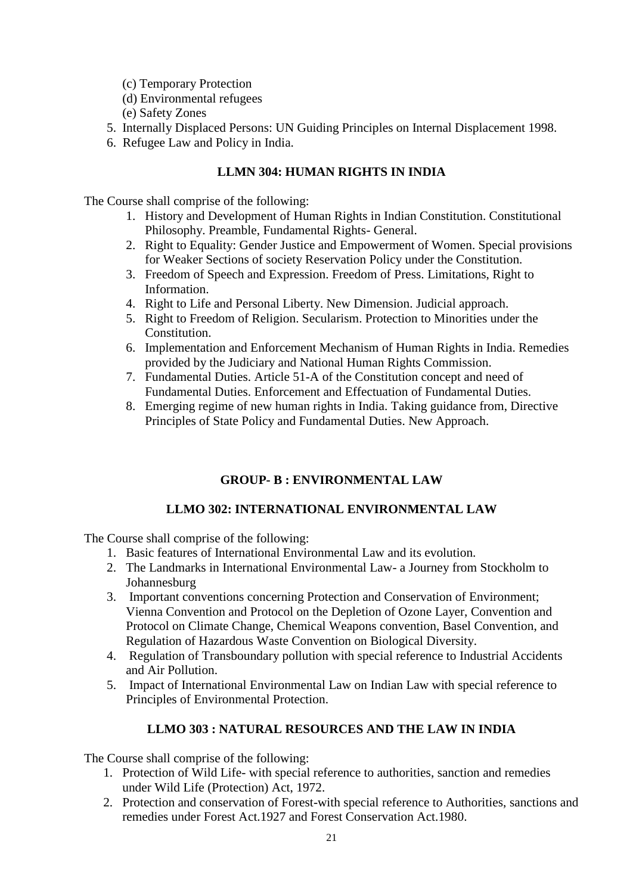- (c) Temporary Protection
- (d) Environmental refugees
- (e) Safety Zones
- 5. Internally Displaced Persons: UN Guiding Principles on Internal Displacement 1998.
- 6. Refugee Law and Policy in India.

## **LLMN 304: HUMAN RIGHTS IN INDIA**

The Course shall comprise of the following:

- 1. History and Development of Human Rights in Indian Constitution. Constitutional Philosophy. Preamble, Fundamental Rights- General.
- 2. Right to Equality: Gender Justice and Empowerment of Women. Special provisions for Weaker Sections of society Reservation Policy under the Constitution.
- 3. Freedom of Speech and Expression. Freedom of Press. Limitations, Right to Information.
- 4. Right to Life and Personal Liberty. New Dimension. Judicial approach.
- 5. Right to Freedom of Religion. Secularism. Protection to Minorities under the Constitution.
- 6. Implementation and Enforcement Mechanism of Human Rights in India. Remedies provided by the Judiciary and National Human Rights Commission.
- 7. Fundamental Duties. Article 51-A of the Constitution concept and need of Fundamental Duties. Enforcement and Effectuation of Fundamental Duties.
- 8. Emerging regime of new human rights in India. Taking guidance from, Directive Principles of State Policy and Fundamental Duties. New Approach.

## **GROUP- B : ENVIRONMENTAL LAW**

## **LLMO 302: INTERNATIONAL ENVIRONMENTAL LAW**

The Course shall comprise of the following:

- 1. Basic features of International Environmental Law and its evolution.
- 2. The Landmarks in International Environmental Law- a Journey from Stockholm to Johannesburg
- 3. Important conventions concerning Protection and Conservation of Environment; Vienna Convention and Protocol on the Depletion of Ozone Layer, Convention and Protocol on Climate Change, Chemical Weapons convention, Basel Convention, and Regulation of Hazardous Waste Convention on Biological Diversity.
- 4. Regulation of Transboundary pollution with special reference to Industrial Accidents and Air Pollution.
- 5. Impact of International Environmental Law on Indian Law with special reference to Principles of Environmental Protection.

## **LLMO 303 : NATURAL RESOURCES AND THE LAW IN INDIA**

- 1. Protection of Wild Life- with special reference to authorities, sanction and remedies under Wild Life (Protection) Act, 1972.
- 2. Protection and conservation of Forest-with special reference to Authorities, sanctions and remedies under Forest Act.1927 and Forest Conservation Act.1980.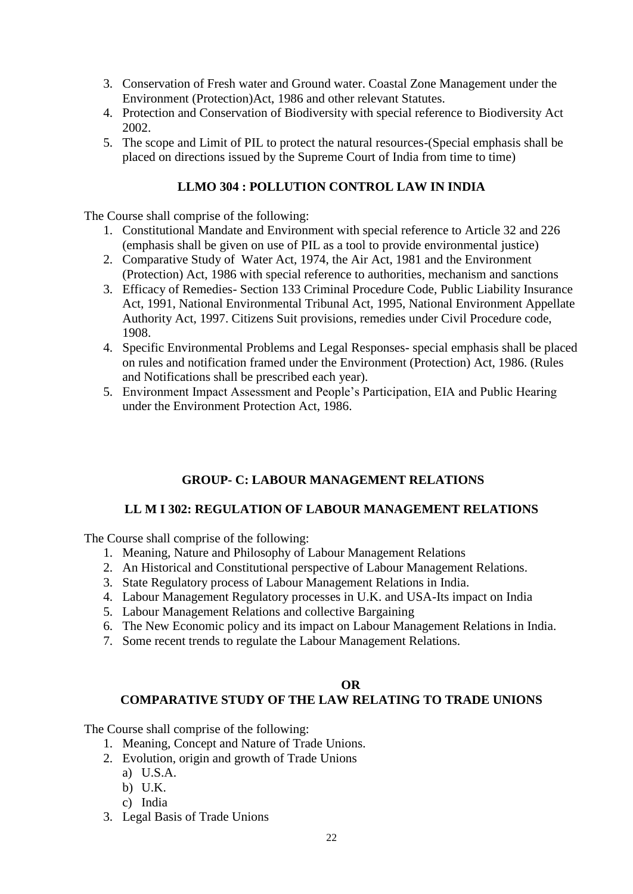- 3. Conservation of Fresh water and Ground water. Coastal Zone Management under the Environment (Protection)Act, 1986 and other relevant Statutes.
- 4. Protection and Conservation of Biodiversity with special reference to Biodiversity Act 2002.
- 5. The scope and Limit of PIL to protect the natural resources-(Special emphasis shall be placed on directions issued by the Supreme Court of India from time to time)

## **LLMO 304 : POLLUTION CONTROL LAW IN INDIA**

The Course shall comprise of the following:

- 1. Constitutional Mandate and Environment with special reference to Article 32 and 226 (emphasis shall be given on use of PIL as a tool to provide environmental justice)
- 2. Comparative Study of Water Act, 1974, the Air Act, 1981 and the Environment (Protection) Act, 1986 with special reference to authorities, mechanism and sanctions
- 3. Efficacy of Remedies- Section 133 Criminal Procedure Code, Public Liability Insurance Act, 1991, National Environmental Tribunal Act, 1995, National Environment Appellate Authority Act, 1997. Citizens Suit provisions, remedies under Civil Procedure code, 1908.
- 4. Specific Environmental Problems and Legal Responses- special emphasis shall be placed on rules and notification framed under the Environment (Protection) Act, 1986. (Rules and Notifications shall be prescribed each year).
- 5. Environment Impact Assessment and People's Participation, EIA and Public Hearing under the Environment Protection Act, 1986.

## **GROUP- C: LABOUR MANAGEMENT RELATIONS**

#### **LL M I 302: REGULATION OF LABOUR MANAGEMENT RELATIONS**

The Course shall comprise of the following:

- 1. Meaning, Nature and Philosophy of Labour Management Relations
- 2. An Historical and Constitutional perspective of Labour Management Relations.
- 3. State Regulatory process of Labour Management Relations in India.
- 4. Labour Management Regulatory processes in U.K. and USA-Its impact on India
- 5. Labour Management Relations and collective Bargaining
- 6. The New Economic policy and its impact on Labour Management Relations in India.
- 7. Some recent trends to regulate the Labour Management Relations.

#### **OR**

## **COMPARATIVE STUDY OF THE LAW RELATING TO TRADE UNIONS**

- 1. Meaning, Concept and Nature of Trade Unions.
- 2. Evolution, origin and growth of Trade Unions
	- a) U.S.A.
	- b) U.K.
	- c) India
- 3. Legal Basis of Trade Unions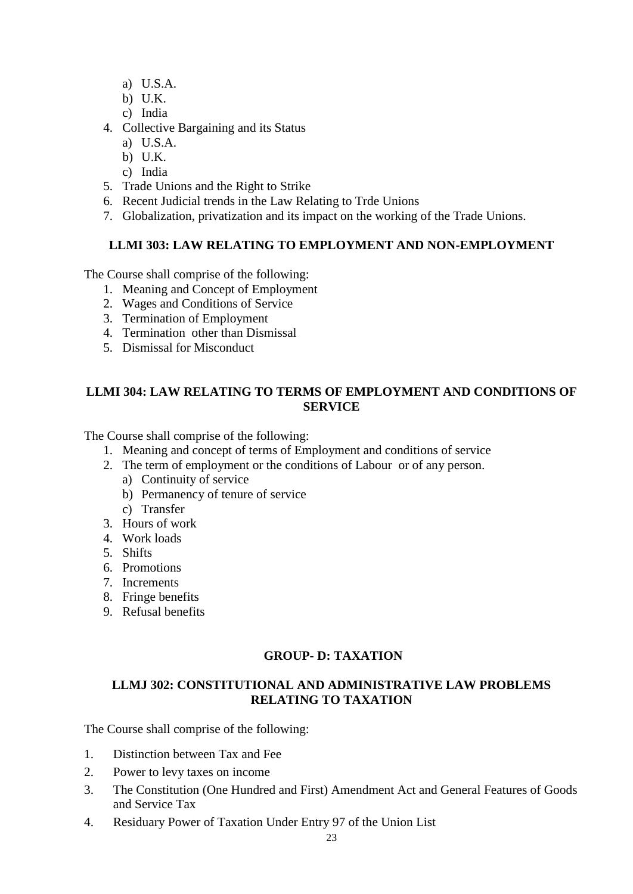- a) U.S.A.
- b) U.K.
- c) India
- 4. Collective Bargaining and its Status
	- a) U.S.A.
	- b) U.K.
	- c) India
- 5. Trade Unions and the Right to Strike
- 6. Recent Judicial trends in the Law Relating to Trde Unions
- 7. Globalization, privatization and its impact on the working of the Trade Unions.

## **LLMI 303: LAW RELATING TO EMPLOYMENT AND NON-EMPLOYMENT**

The Course shall comprise of the following:

- 1. Meaning and Concept of Employment
- 2. Wages and Conditions of Service
- 3. Termination of Employment
- 4. Termination other than Dismissal
- 5. Dismissal for Misconduct

## **LLMI 304: LAW RELATING TO TERMS OF EMPLOYMENT AND CONDITIONS OF SERVICE**

The Course shall comprise of the following:

- 1. Meaning and concept of terms of Employment and conditions of service
- 2. The term of employment or the conditions of Labour or of any person.
	- a) Continuity of service
	- b) Permanency of tenure of service
	- c) Transfer
- 3. Hours of work
- 4. Work loads
- 5. Shifts
- 6. Promotions
- 7. Increments
- 8. Fringe benefits
- 9. Refusal benefits

## **GROUP- D: TAXATION**

## **LLMJ 302: CONSTITUTIONAL AND ADMINISTRATIVE LAW PROBLEMS RELATING TO TAXATION**

- 1. Distinction between Tax and Fee
- 2. Power to levy taxes on income
- 3. The Constitution (One Hundred and First) Amendment Act and General Features of Goods and Service Tax
- 4. Residuary Power of Taxation Under Entry 97 of the Union List